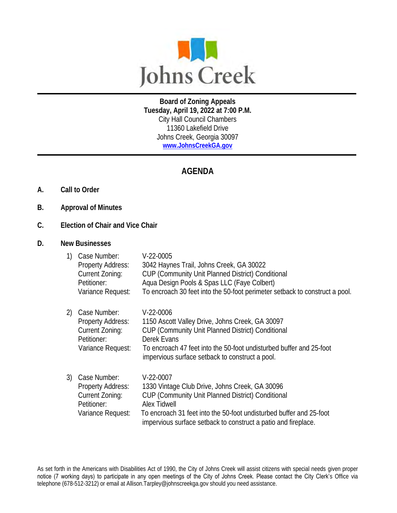

**Board of Zoning Appeals Tuesday, April 19, 2022 at 7:00 P.M.** City Hall Council Chambers 11360 Lakefield Drive Johns Creek, Georgia 30097 **[www.JohnsCreekGA.gov](http://www.johnscreekga.gov/)**

## **AGENDA**

- **A. Call to Order**
- **B. Approval of Minutes**
- **C. Election of Chair and Vice Chair**
- **D. New Businesses**

| 1)  | Case Number:<br>Property Address:<br>Current Zoning:<br>Petitioner:<br>Variance Request: | $V-22-0005$<br>3042 Haynes Trail, Johns Creek, GA 30022<br>CUP (Community Unit Planned District) Conditional<br>Aqua Design Pools & Spas LLC (Faye Colbert)<br>To encroach 30 feet into the 50-foot perimeter setback to construct a pool.                                  |
|-----|------------------------------------------------------------------------------------------|-----------------------------------------------------------------------------------------------------------------------------------------------------------------------------------------------------------------------------------------------------------------------------|
| 2). | Case Number:<br>Property Address:<br>Current Zoning:<br>Petitioner:<br>Variance Request: | $V-22-0006$<br>1150 Ascott Valley Drive, Johns Creek, GA 30097<br>CUP (Community Unit Planned District) Conditional<br>Derek Evans<br>To encroach 47 feet into the 50-foot undisturbed buffer and 25-foot<br>impervious surface setback to construct a pool.                |
| 3). | Case Number:<br>Property Address:<br>Current Zoning:<br>Petitioner:<br>Variance Request: | $V-22-0007$<br>1330 Vintage Club Drive, Johns Creek, GA 30096<br>CUP (Community Unit Planned District) Conditional<br>Alex Tidwell<br>To encroach 31 feet into the 50-foot undisturbed buffer and 25-foot<br>impervious surface setback to construct a patio and fireplace. |

As set forth in the Americans with Disabilities Act of 1990, the City of Johns Creek will assist citizens with special needs given proper notice (7 working days) to participate in any open meetings of the City of Johns Creek. Please contact the City Clerk's Office via telephone (678-512-3212) or email at Allison.Tarpley@johnscreekga.gov should you need assistance.